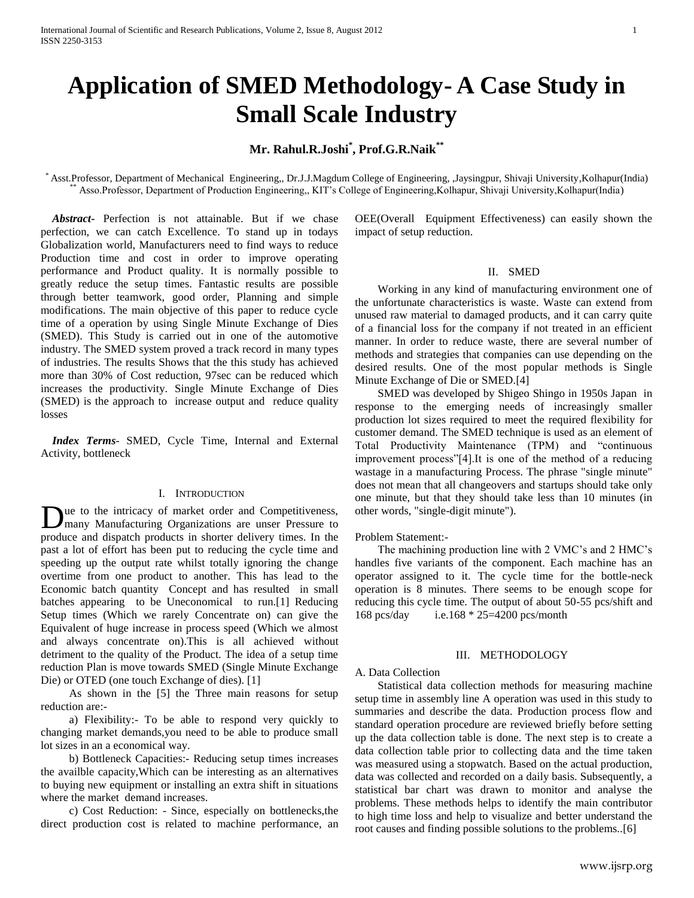# **Application of SMED Methodology- A Case Study in Small Scale Industry**

## **Mr. Rahul.R.Joshi\* , Prof.G.R.Naik\*\***

\* Asst.Professor, Department of Mechanical Engineering,, Dr.J.J.Magdum College of Engineering, ,Jaysingpur, Shivaji University,Kolhapur(India) Asso.Professor, Department of Production Engineering,, KIT's College of Engineering,Kolhapur, Shivaji University,Kolhapur(India)

 *Abstract***-** Perfection is not attainable. But if we chase perfection, we can catch Excellence. To stand up in todays Globalization world, Manufacturers need to find ways to reduce Production time and cost in order to improve operating performance and Product quality. It is normally possible to greatly reduce the setup times. Fantastic results are possible through better teamwork, good order, Planning and simple modifications. The main objective of this paper to reduce cycle time of a operation by using Single Minute Exchange of Dies (SMED). This Study is carried out in one of the automotive industry. The SMED system proved a track record in many types of industries. The results Shows that the this study has achieved more than 30% of Cost reduction, 97sec can be reduced which increases the productivity. Single Minute Exchange of Dies (SMED) is the approach to increase output and reduce quality losses

 *Index Terms*- SMED, Cycle Time, Internal and External Activity, bottleneck

#### I. INTRODUCTION

Due to the intricacy of market order and Competitiveness,<br>
many Manufacturing Organizations are unser Pressure to many Manufacturing Organizations are unser Pressure to produce and dispatch products in shorter delivery times. In the past a lot of effort has been put to reducing the cycle time and speeding up the output rate whilst totally ignoring the change overtime from one product to another. This has lead to the Economic batch quantity Concept and has resulted in small batches appearing to be Uneconomical to run.[1] Reducing Setup times (Which we rarely Concentrate on) can give the Equivalent of huge increase in process speed (Which we almost and always concentrate on).This is all achieved without detriment to the quality of the Product. The idea of a setup time reduction Plan is move towards SMED (Single Minute Exchange Die) or OTED (one touch Exchange of dies). [1]

 As shown in the [5] the Three main reasons for setup reduction are:-

 a) Flexibility:- To be able to respond very quickly to changing market demands,you need to be able to produce small lot sizes in an a economical way.

 b) Bottleneck Capacities:- Reducing setup times increases the availble capacity,Which can be interesting as an alternatives to buying new equipment or installing an extra shift in situations where the market demand increases.

 c) Cost Reduction: - Since, especially on bottlenecks,the direct production cost is related to machine performance, an OEE(Overall Equipment Effectiveness) can easily shown the impact of setup reduction.

#### II. SMED

 Working in any kind of manufacturing environment one of the unfortunate characteristics is waste. Waste can extend from unused raw material to damaged products, and it can carry quite of a financial loss for the company if not treated in an efficient manner. In order to reduce waste, there are several number of methods and strategies that companies can use depending on the desired results. One of the most popular methods is Single Minute Exchange of Die or SMED.[4]

 SMED was developed by Shigeo Shingo in 1950s Japan in response to the emerging needs of increasingly smaller production lot sizes required to meet the required flexibility for customer demand. The SMED technique is used as an element of Total Productivity Maintenance (TPM) and "continuous improvement process"[4].It is one of the method of a reducing wastage in a manufacturing Process. The phrase "single minute" does not mean that all changeovers and startups should take only one minute, but that they should take less than 10 minutes (in other words, "single-digit minute").

## Problem Statement:-

 The machining production line with 2 VMC's and 2 HMC's handles five variants of the component. Each machine has an operator assigned to it. The cycle time for the bottle-neck operation is 8 minutes. There seems to be enough scope for reducing this cycle time. The output of about 50-55 pcs/shift and 168 pcs/day i.e.168 \* 25=4200 pcs/month

#### III. METHODOLOGY

### A. Data Collection

 Statistical data collection methods for measuring machine setup time in assembly line A operation was used in this study to summaries and describe the data. Production process flow and standard operation procedure are reviewed briefly before setting up the data collection table is done. The next step is to create a data collection table prior to collecting data and the time taken was measured using a stopwatch. Based on the actual production, data was collected and recorded on a daily basis. Subsequently, a statistical bar chart was drawn to monitor and analyse the problems. These methods helps to identify the main contributor to high time loss and help to visualize and better understand the root causes and finding possible solutions to the problems..[6]

www.ijsrp.org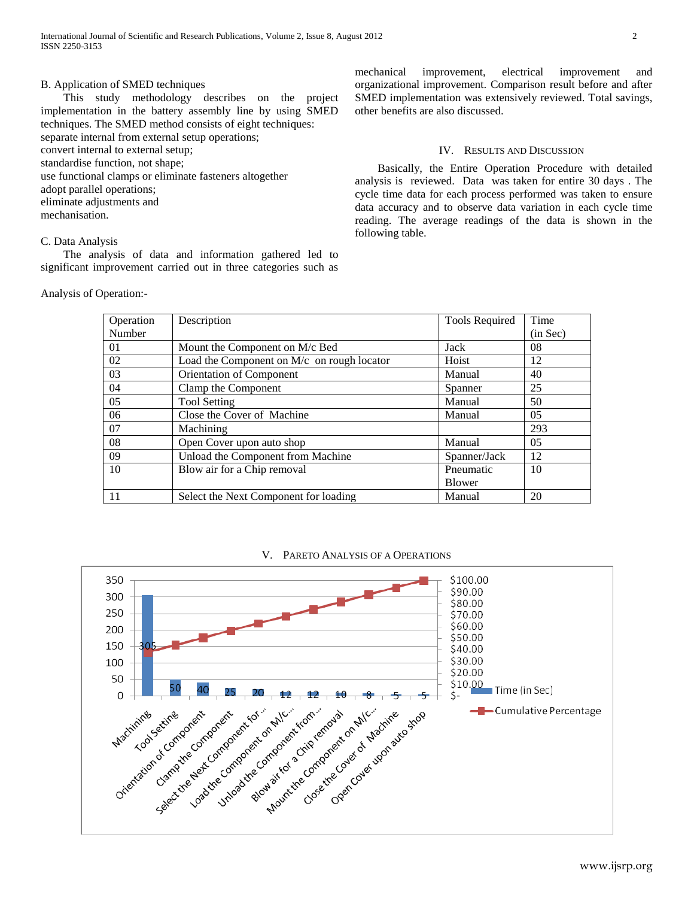## B. Application of SMED techniques

 This study methodology describes on the project implementation in the battery assembly line by using SMED techniques. The SMED method consists of eight techniques: separate internal from external setup operations; convert internal to external setup; standardise function, not shape; use functional clamps or eliminate fasteners altogether adopt parallel operations; eliminate adjustments and mechanisation.

## C. Data Analysis

 The analysis of data and information gathered led to significant improvement carried out in three categories such as

Analysis of Operation:-

mechanical improvement, electrical improvement and organizational improvement. Comparison result before and after SMED implementation was extensively reviewed. Total savings, other benefits are also discussed.

#### IV. RESULTS AND DISCUSSION

 Basically, the Entire Operation Procedure with detailed analysis is reviewed. Data was taken for entire 30 days . The cycle time data for each process performed was taken to ensure data accuracy and to observe data variation in each cycle time reading. The average readings of the data is shown in the following table.

| Operation | Description                                | Tools Required | Time           |
|-----------|--------------------------------------------|----------------|----------------|
| Number    |                                            |                | (in Sec)       |
| 01        | Mount the Component on M/c Bed             | Jack           | 08             |
| 02        | Load the Component on M/c on rough locator | Hoist          | 12             |
| 03        | Orientation of Component                   | Manual         | 40             |
| 04        | Clamp the Component                        | Spanner        | 25             |
| 05        | <b>Tool Setting</b>                        | Manual         | 50             |
| 06        | Close the Cover of Machine                 | Manual         | 0 <sub>5</sub> |
| 07        | Machining                                  |                | 293            |
| 08        | Open Cover upon auto shop                  | Manual         | 05             |
| 09        | Unload the Component from Machine          | Spanner/Jack   | 12             |
| 10        | Blow air for a Chip removal                | Pneumatic      | 10             |
|           |                                            | <b>Blower</b>  |                |
| 11        | Select the Next Component for loading      | Manual         | 20             |

## V. PARETO ANALYSIS OF A OPERATIONS

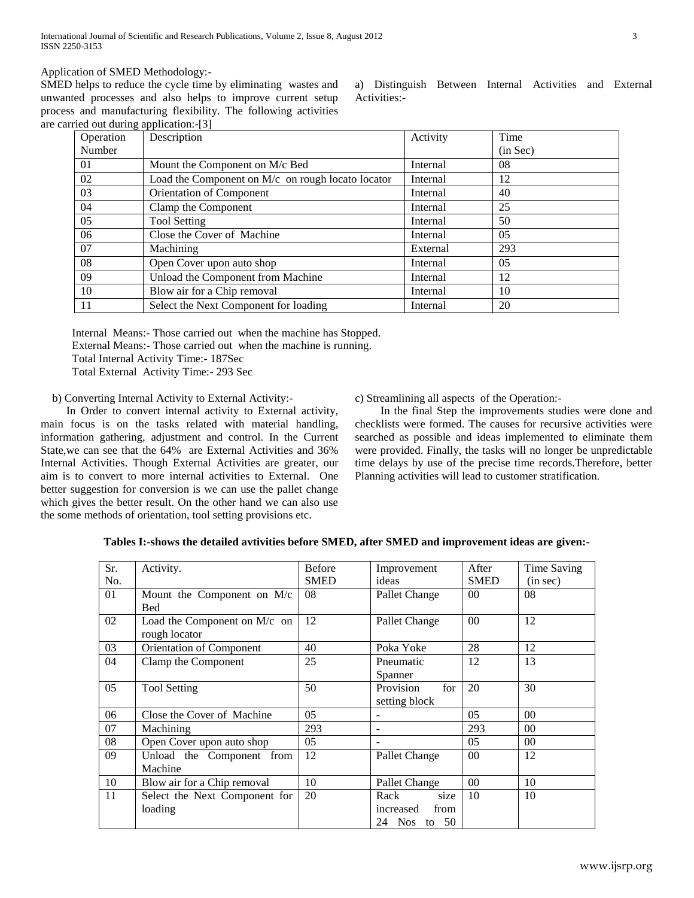Application of SMED Methodology:-

SMED helps to reduce the cycle time by eliminating wastes and unwanted processes and also helps to improve current setup process and manufacturing flexibility. The following activities are carried out during application:-[3]

| a) Distinguish Between Internal Activities and External |  |  |  |
|---------------------------------------------------------|--|--|--|
| Activities:-                                            |  |  |  |

| $\alpha$ out during application. $\beta$ |                                                   |          |          |  |  |
|------------------------------------------|---------------------------------------------------|----------|----------|--|--|
| Operation                                | Description                                       | Activity | Time     |  |  |
| Number                                   |                                                   |          | (in Sec) |  |  |
| 01                                       | Mount the Component on M/c Bed                    | Internal | 08       |  |  |
| 02                                       | Load the Component on M/c on rough locato locator | Internal | 12       |  |  |
| 03                                       | Orientation of Component                          | Internal | 40       |  |  |
| 04                                       | Clamp the Component                               | Internal | 25       |  |  |
| 05                                       | <b>Tool Setting</b>                               | Internal | 50       |  |  |
| 06                                       | Close the Cover of Machine                        | Internal | 05       |  |  |
| 07                                       | Machining                                         | External | 293      |  |  |
| 08                                       | Open Cover upon auto shop                         | Internal | 0.5      |  |  |
| 09                                       | Unload the Component from Machine                 | Internal | 12       |  |  |
| -10                                      | Blow air for a Chip removal                       | Internal | 10       |  |  |
| -11                                      | Select the Next Component for loading             | Internal | 20       |  |  |
|                                          |                                                   |          |          |  |  |

Internal Means:- Those carried out when the machine has Stopped.

External Means:- Those carried out when the machine is running.

Total Internal Activity Time:- 187Sec

Total External Activity Time:- 293 Sec

b) Converting Internal Activity to External Activity:-

 In Order to convert internal activity to External activity, main focus is on the tasks related with material handling, information gathering, adjustment and control. In the Current State,we can see that the 64% are External Activities and 36% Internal Activities. Though External Activities are greater, our aim is to convert to more internal activities to External. One better suggestion for conversion is we can use the pallet change which gives the better result. On the other hand we can also use the some methods of orientation, tool setting provisions etc.

c) Streamlining all aspects of the Operation:-

 In the final Step the improvements studies were done and checklists were formed. The causes for recursive activities were searched as possible and ideas implemented to eliminate them were provided. Finally, the tasks will no longer be unpredictable time delays by use of the precise time records.Therefore, better Planning activities will lead to customer stratification.

| Sr. | Activity.                      | <b>Before</b>  | Improvement       | After          | Time Saving |
|-----|--------------------------------|----------------|-------------------|----------------|-------------|
| No. |                                | <b>SMED</b>    | ideas             | <b>SMED</b>    | (in sec)    |
| 01  | Mount the Component on M/c     | 08             | Pallet Change     | 00             | 08          |
|     | <b>Bed</b>                     |                |                   |                |             |
| 02  | Load the Component on $M/c$ on | 12             | Pallet Change     | 0 <sup>0</sup> | 12          |
|     | rough locator                  |                |                   |                |             |
| 03  | Orientation of Component       | 40             | Poka Yoke         | 28             | 12          |
| 04  | Clamp the Component            | 25             | Pneumatic         | 12             | 13          |
|     |                                |                | Spanner           |                |             |
| 05  | <b>Tool Setting</b>            | 50             | for<br>Provision  | 20             | 30          |
|     |                                |                | setting block     |                |             |
| 06  | Close the Cover of Machine     | 0 <sub>5</sub> |                   | 0 <sub>5</sub> | 00          |
| 07  | Machining                      | 293            |                   | 293            | 00          |
| 08  | Open Cover upon auto shop      | 05             |                   | 05             | 00          |
| 09  | Unload the Component from      | 12             | Pallet Change     | 00             | 12          |
|     | Machine                        |                |                   |                |             |
| 10  | Blow air for a Chip removal    | 10             | Pallet Change     | 00             | 10          |
| 11  | Select the Next Component for  | 20             | Rack<br>size      | 10             | 10          |
|     | loading                        |                | from<br>increased |                |             |
|     |                                |                | 24 Nos to 50      |                |             |

## **Tables I:-shows the detailed avtivities before SMED, after SMED and improvement ideas are given:-**